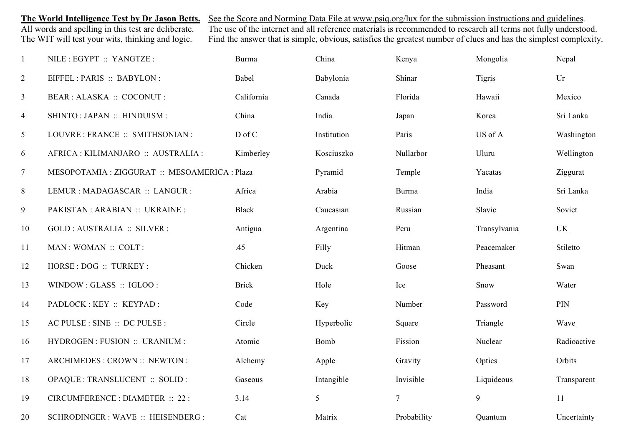**The World Intelligence Test by Dr Jason Betts.** See the Score and Norming Data File at www.psiq.org/lux for the submission instructions and guidelines.<br>All words and spelling in this test are deliberate. The use of the in All words and spelling in this test are deliberate. The use of the internet and all reference materials is recommended to research all terms not fully understood.<br>The WIT will test your wits, thinking and logic. Find the a Find the answer that is simple, obvious, satisfies the greatest number of clues and has the simplest complexity.

| $\mathbf{1}$   | NILE : EGYPT :: YANGTZE :                     | Burma        | China       | Kenya          | Mongolia      | Nepal       |
|----------------|-----------------------------------------------|--------------|-------------|----------------|---------------|-------------|
| $\overline{2}$ | EIFFEL: PARIS :: BABYLON:                     | Babel        | Babylonia   | Shinar         | <b>Tigris</b> | Ur          |
| $\mathfrak{Z}$ | BEAR : ALASKA :: COCONUT :                    | California   | Canada      | Florida        | Hawaii        | Mexico      |
| $\overline{4}$ | SHINTO: JAPAN :: HINDUISM :                   | China        | India       | Japan          | Korea         | Sri Lanka   |
| 5              | LOUVRE : FRANCE :: SMITHSONIAN :              | D of C       | Institution | Paris          | US of A       | Washington  |
| 6              | AFRICA : KILIMANJARO :: AUSTRALIA :           | Kimberley    | Kosciuszko  | Nullarbor      | Uluru         | Wellington  |
| $\overline{7}$ | MESOPOTAMIA : ZIGGURAT :: MESOAMERICA : Plaza |              | Pyramid     | Temple         | Yacatas       | Ziggurat    |
| 8              | LEMUR : MADAGASCAR :: LANGUR :                | Africa       | Arabia      | <b>Burma</b>   | India         | Sri Lanka   |
| 9              | PAKISTAN: ARABIAN: UKRAINE:                   | <b>Black</b> | Caucasian   | Russian        | Slavic        | Soviet      |
| 10             | GOLD : AUSTRALIA :: SILVER :                  | Antigua      | Argentina   | Peru           | Transylvania  | <b>UK</b>   |
| 11             | MAN: WOMAN :: COLT:                           | .45          | Filly       | Hitman         | Peacemaker    | Stiletto    |
| 12             | HORSE : DOG :: TURKEY :                       | Chicken      | Duck        | Goose          | Pheasant      | Swan        |
| 13             | WINDOW: GLASS: : IGLOO:                       | <b>Brick</b> | Hole        | Ice            | Snow          | Water       |
| 14             | PADLOCK : KEY :: KEYPAD :                     | Code         | Key         | Number         | Password      | PIN         |
| 15             | AC PULSE : SINE :: DC PULSE :                 | Circle       | Hyperbolic  | Square         | Triangle      | Wave        |
| 16             | HYDROGEN : FUSION :: URANIUM :                | Atomic       | Bomb        | Fission        | Nuclear       | Radioactive |
| 17             | ARCHIMEDES : CROWN :: NEWTON :                | Alchemy      | Apple       | Gravity        | Optics        | Orbits      |
| 18             | OPAQUE : TRANSLUCENT :: SOLID :               | Gaseous      | Intangible  | Invisible      | Liquideous    | Transparent |
| 19             | CIRCUMFERENCE : DIAMETER :: 22 :              | 3.14         | 5           | $\overline{7}$ | 9             | 11          |
| 20             | SCHRODINGER : WAVE :: HEISENBERG :            | Cat          | Matrix      | Probability    | Quantum       | Uncertainty |